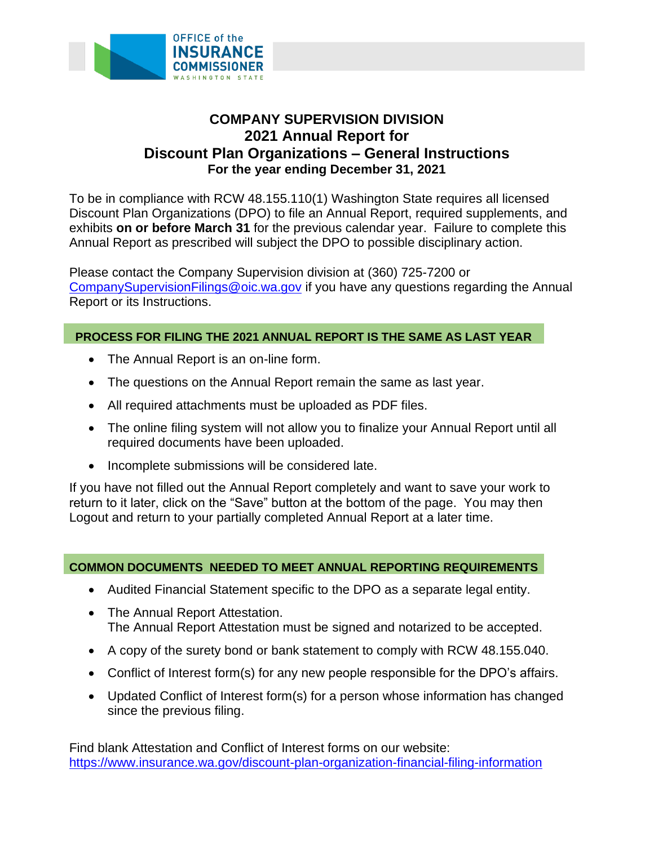

# **COMPANY SUPERVISION DIVISION 2021 Annual Report for Discount Plan Organizations – General Instructions For the year ending December 31, 2021**

To be in compliance with RCW 48.155.110(1) Washington State requires all licensed Discount Plan Organizations (DPO) to file an Annual Report, required supplements, and exhibits **on or before March 31** for the previous calendar year. Failure to complete this Annual Report as prescribed will subject the DPO to possible disciplinary action.

Please contact the Company Supervision division at (360) 725-7200 or [CompanySupervisionFilings@oic.wa.gov](mailto:CompanySupervisionFilings@oic.wa.gov) if you have any questions regarding the Annual Report or its Instructions.

## **PROCESS FOR FILING THE 2021 ANNUAL REPORT IS THE SAME AS LAST YEAR**

- The Annual Report is an on-line form.
- The questions on the Annual Report remain the same as last year.
- All required attachments must be uploaded as PDF files.
- The online filing system will not allow you to finalize your Annual Report until all required documents have been uploaded.
- Incomplete submissions will be considered late.

 return to it later, click on the "Save" button at the bottom of the page. You may then If you have not filled out the Annual Report completely and want to save your work to Logout and return to your partially completed Annual Report at a later time.

#### **COMMON DOCUMENTS NEEDED TO MEET ANNUAL REPORTING REQUIREMENTS**

- Audited Financial Statement specific to the DPO as a separate legal entity.
- The Annual Report Attestation. The Annual Report Attestation must be signed and notarized to be accepted.
- A copy of the surety bond or bank statement to comply with RCW 48.155.040.
- Conflict of Interest form(s) for any new people responsible for the DPO's affairs.
- Updated Conflict of Interest form(s) for a person whose information has changed since the previous filing.

Find blank Attestation and Conflict of Interest forms on our website: <https://www.insurance.wa.gov/discount-plan-organization-financial-filing-information>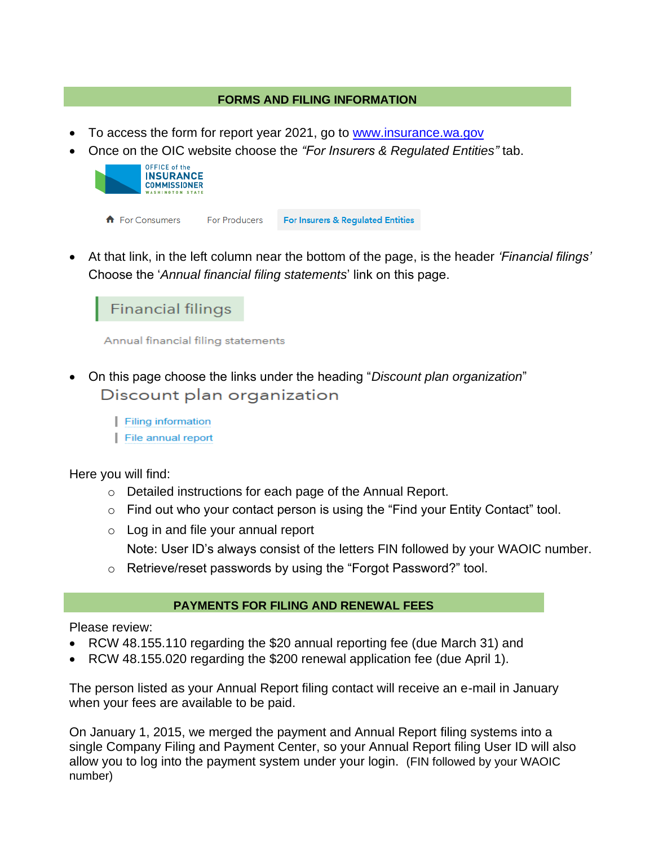## **FORMS AND FILING INFORMATION**

- To access the form for report year 2021, go to www.insurance.wa.gov
- Once on the OIC website choose the *"For Insurers & Regulated Entities"* tab.



• At that link, in the left column near the bottom of the page, is the header *'Financial filings'*  Choose the '*Annual financial filing statements*' link on this page.

Financial filings

**Annual financial filing statements** 

- Discount plan organization • On this page choose the links under the heading "*Discount plan organization*"
	- Filing information
	- File annual report

Here you will find:

- o Detailed instructions for each page of the Annual Report.
- o Find out who your contact person is using the "Find your Entity Contact" tool.
- o Log in and file your annual report

Note: User ID's always consist of the letters FIN followed by your WAOIC number.

o Retrieve/reset passwords by using the "Forgot Password?" tool.

## **PAYMENTS FOR FILING AND RENEWAL FEES**

Please review:

- RCW 48.155.110 regarding the \$20 annual reporting fee (due March 31) and
- RCW 48.155.020 regarding the \$200 renewal application fee (due April 1).

The person listed as your Annual Report filing contact will receive an e-mail in January when your fees are available to be paid.

 On January 1, 2015, we merged the payment and Annual Report filing systems into a single Company Filing and Payment Center, so your Annual Report filing User ID will also allow you to log into the payment system under your login. (FIN followed by your WAOIC number)